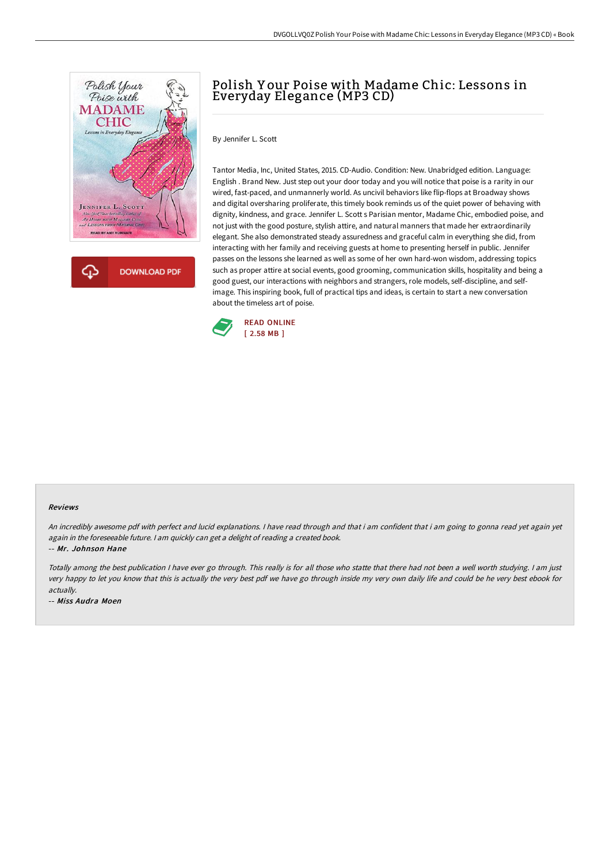

Polish Y our Poise with Madame Chic: Lessons in Everyday Elegance (MP3 CD)

By Jennifer L. Scott

Tantor Media, Inc, United States, 2015. CD-Audio. Condition: New. Unabridged edition. Language: English . Brand New. Just step out your door today and you will notice that poise is a rarity in our wired, fast-paced, and unmannerly world. As uncivil behaviors like flip-flops at Broadway shows and digital oversharing proliferate, this timely book reminds us of the quiet power of behaving with dignity, kindness, and grace. Jennifer L. Scott s Parisian mentor, Madame Chic, embodied poise, and not just with the good posture, stylish attire, and natural manners that made her extraordinarily elegant. She also demonstrated steady assuredness and graceful calm in everything she did, from interacting with her family and receiving guests at home to presenting herself in public. Jennifer passes on the lessons she learned as well as some of her own hard-won wisdom, addressing topics such as proper attire at social events, good grooming, communication skills, hospitality and being a good guest, our interactions with neighbors and strangers, role models, self-discipline, and selfimage. This inspiring book, full of practical tips and ideas, is certain to start a new conversation about the timeless art of poise.



## Reviews

An incredibly awesome pdf with perfect and lucid explanations. <sup>I</sup> have read through and that i am confident that i am going to gonna read yet again yet again in the foreseeable future. <sup>I</sup> am quickly can get <sup>a</sup> delight of reading <sup>a</sup> created book.

-- Mr. Johnson Hane

Totally among the best publication <sup>I</sup> have ever go through. This really is for all those who statte that there had not been <sup>a</sup> well worth studying. <sup>I</sup> am just very happy to let you know that this is actually the very best pdf we have go through inside my very own daily life and could be he very best ebook for actually.

-- Miss Audra Moen